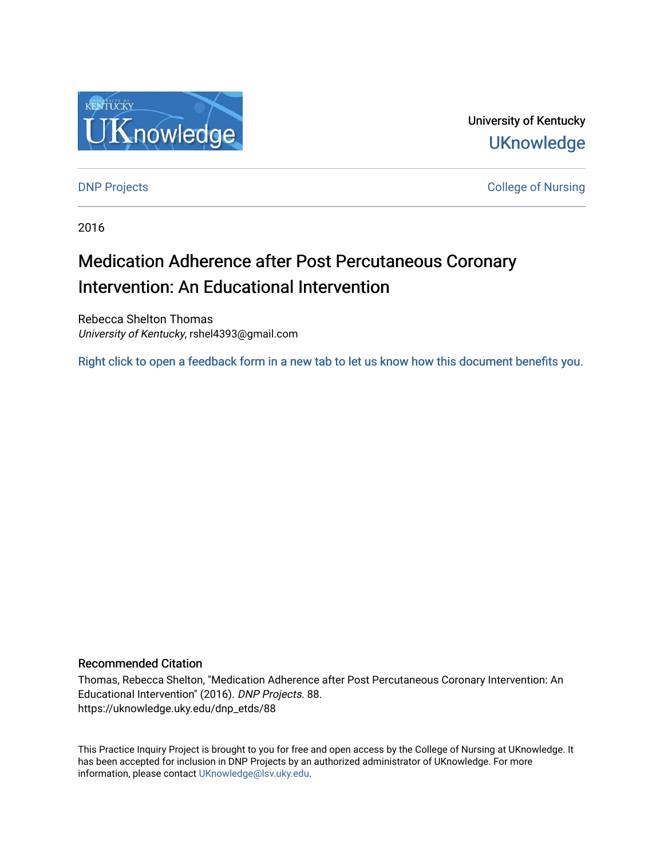

University of Kentucky **UKnowledge** 

[DNP Projects](https://uknowledge.uky.edu/dnp_etds) **College of Nursing** 

2016

# Medication Adherence after Post Percutaneous Coronary Intervention: An Educational Intervention

Rebecca Shelton Thomas University of Kentucky, rshel4393@gmail.com

[Right click to open a feedback form in a new tab to let us know how this document benefits you.](https://uky.az1.qualtrics.com/jfe/form/SV_9mq8fx2GnONRfz7)

#### Recommended Citation

Thomas, Rebecca Shelton, "Medication Adherence after Post Percutaneous Coronary Intervention: An Educational Intervention" (2016). DNP Projects. 88. https://uknowledge.uky.edu/dnp\_etds/88

This Practice Inquiry Project is brought to you for free and open access by the College of Nursing at UKnowledge. It has been accepted for inclusion in DNP Projects by an authorized administrator of UKnowledge. For more information, please contact [UKnowledge@lsv.uky.edu](mailto:UKnowledge@lsv.uky.edu).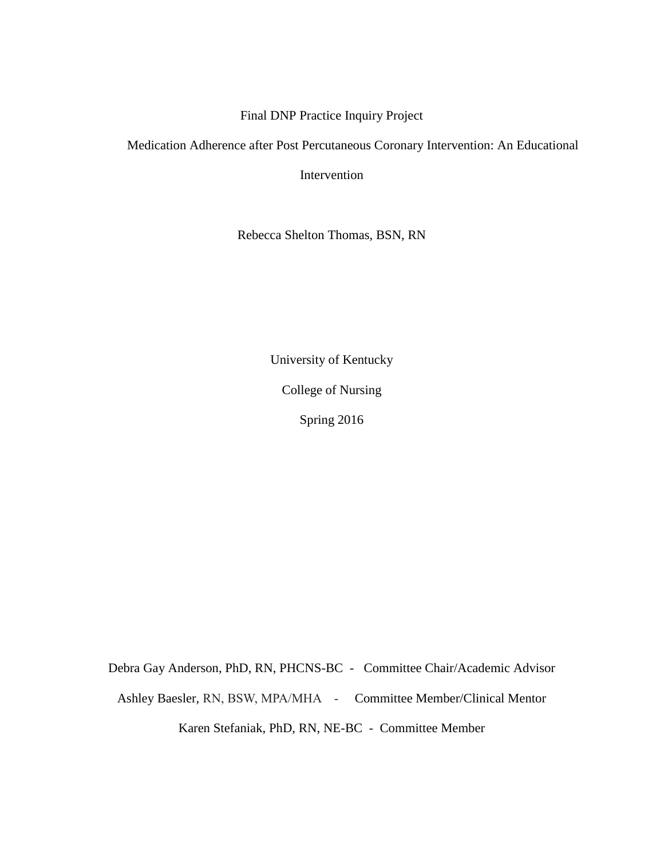# Final DNP Practice Inquiry Project

Medication Adherence after Post Percutaneous Coronary Intervention: An Educational

Intervention

Rebecca Shelton Thomas, BSN, RN

University of Kentucky College of Nursing Spring 2016

Debra Gay Anderson, PhD, RN, PHCNS-BC - Committee Chair/Academic Advisor Ashley Baesler, RN, BSW, MPA/MHA - Committee Member/Clinical Mentor Karen Stefaniak, PhD, RN, NE-BC - Committee Member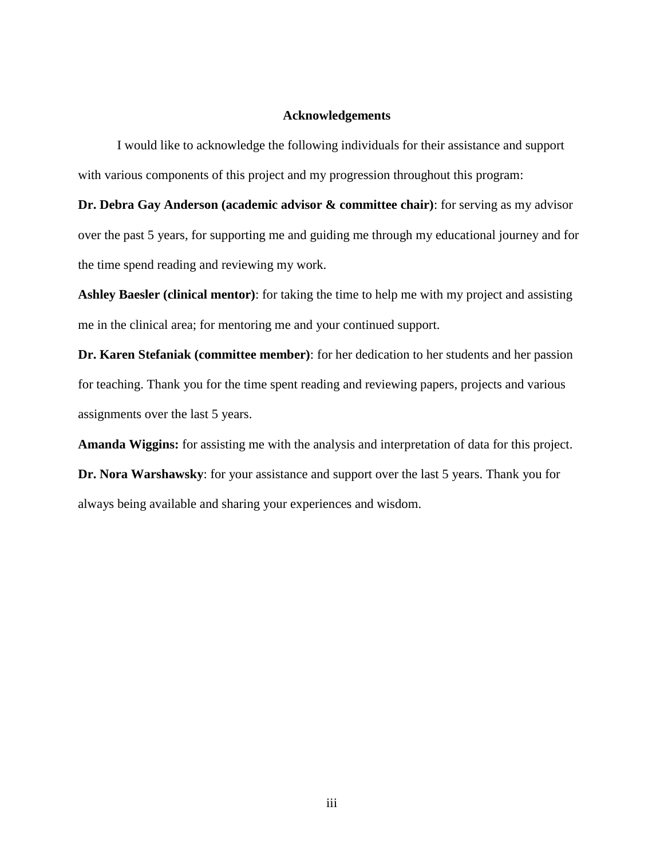#### **Acknowledgements**

I would like to acknowledge the following individuals for their assistance and support with various components of this project and my progression throughout this program:

**Dr. Debra Gay Anderson (academic advisor & committee chair)**: for serving as my advisor over the past 5 years, for supporting me and guiding me through my educational journey and for the time spend reading and reviewing my work.

**Ashley Baesler (clinical mentor)**: for taking the time to help me with my project and assisting me in the clinical area; for mentoring me and your continued support.

**Dr. Karen Stefaniak (committee member)**: for her dedication to her students and her passion for teaching. Thank you for the time spent reading and reviewing papers, projects and various assignments over the last 5 years.

**Amanda Wiggins:** for assisting me with the analysis and interpretation of data for this project. **Dr. Nora Warshawsky**: for your assistance and support over the last 5 years. Thank you for always being available and sharing your experiences and wisdom.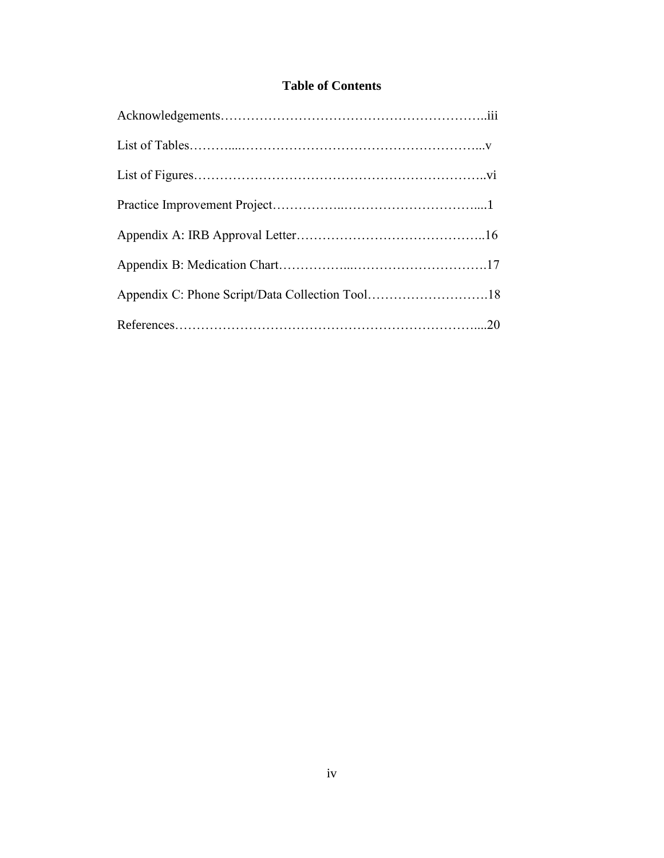# **Table of Contents**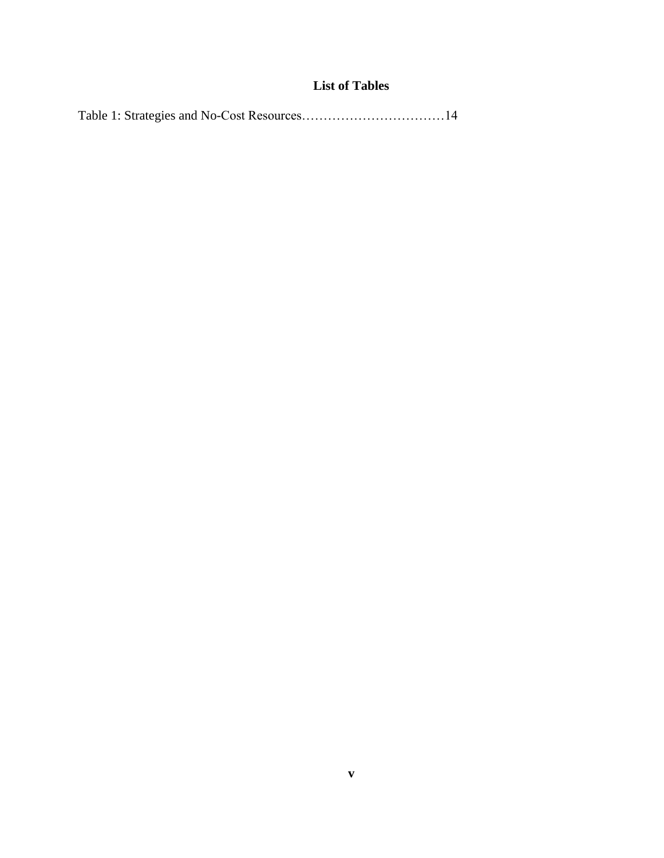# **List of Tables**

|--|--|--|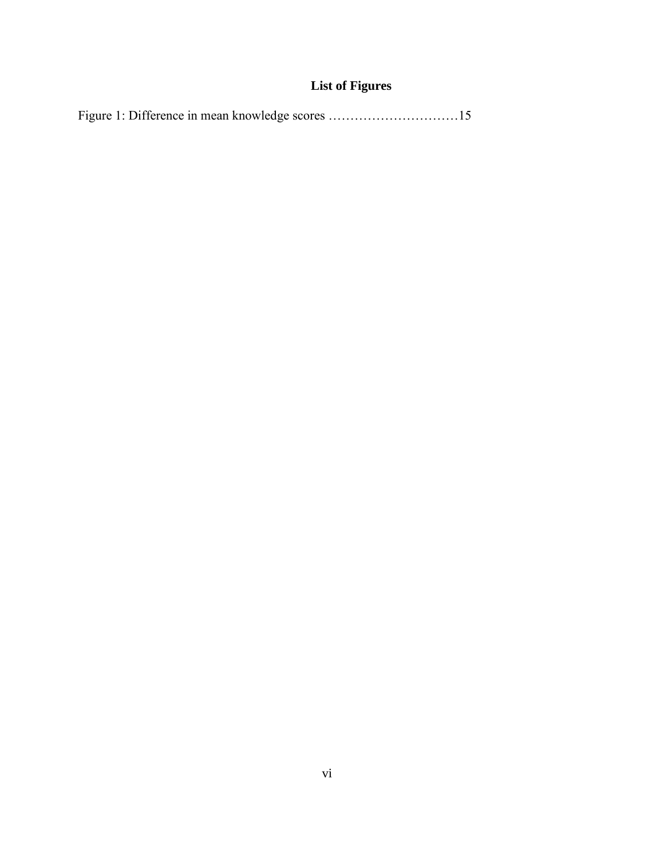# **List of Figures**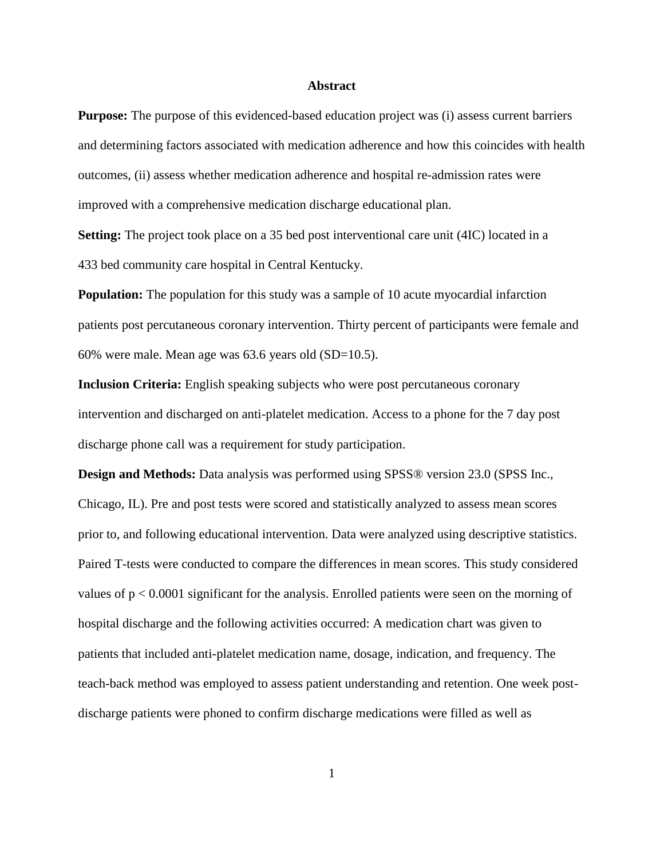#### **Abstract**

**Purpose:** The purpose of this evidenced-based education project was (i) assess current barriers and determining factors associated with medication adherence and how this coincides with health outcomes, (ii) assess whether medication adherence and hospital re-admission rates were improved with a comprehensive medication discharge educational plan.

**Setting:** The project took place on a 35 bed post interventional care unit (4IC) located in a 433 bed community care hospital in Central Kentucky.

**Population:** The population for this study was a sample of 10 acute myocardial infarction patients post percutaneous coronary intervention. Thirty percent of participants were female and 60% were male. Mean age was 63.6 years old (SD=10.5).

**Inclusion Criteria:** English speaking subjects who were post percutaneous coronary intervention and discharged on anti-platelet medication. Access to a phone for the 7 day post discharge phone call was a requirement for study participation.

**Design and Methods:** Data analysis was performed using SPSS® version 23.0 (SPSS Inc., Chicago, IL). Pre and post tests were scored and statistically analyzed to assess mean scores prior to, and following educational intervention. Data were analyzed using descriptive statistics. Paired T-tests were conducted to compare the differences in mean scores. This study considered values of  $p < 0.0001$  significant for the analysis. Enrolled patients were seen on the morning of hospital discharge and the following activities occurred: A medication chart was given to patients that included anti-platelet medication name, dosage, indication, and frequency. The teach-back method was employed to assess patient understanding and retention. One week postdischarge patients were phoned to confirm discharge medications were filled as well as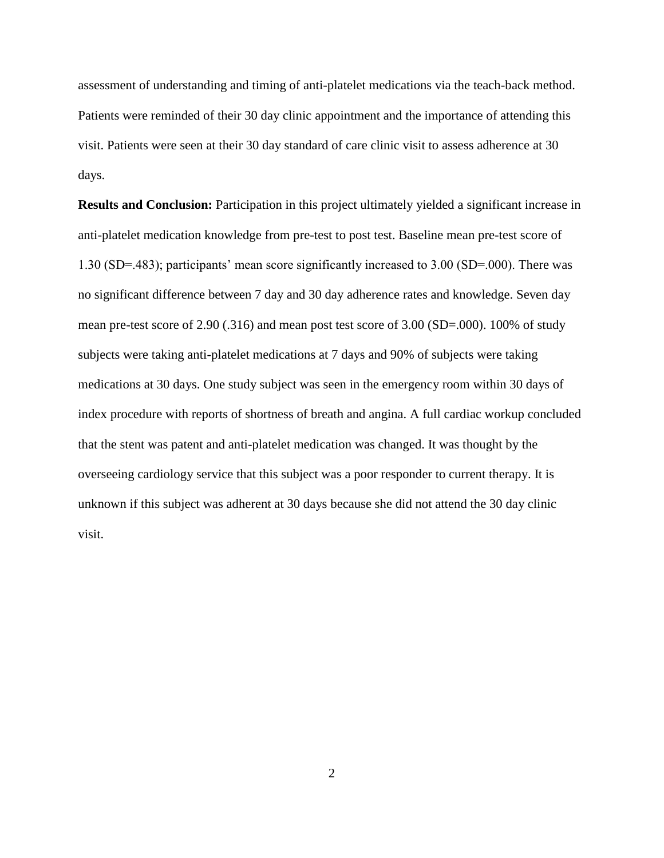assessment of understanding and timing of anti-platelet medications via the teach-back method. Patients were reminded of their 30 day clinic appointment and the importance of attending this visit. Patients were seen at their 30 day standard of care clinic visit to assess adherence at 30 days.

**Results and Conclusion:** Participation in this project ultimately yielded a significant increase in anti-platelet medication knowledge from pre-test to post test. Baseline mean pre-test score of 1.30 (SD=.483); participants' mean score significantly increased to 3.00 (SD=.000). There was no significant difference between 7 day and 30 day adherence rates and knowledge. Seven day mean pre-test score of 2.90 (.316) and mean post test score of 3.00 (SD=.000). 100% of study subjects were taking anti-platelet medications at 7 days and 90% of subjects were taking medications at 30 days. One study subject was seen in the emergency room within 30 days of index procedure with reports of shortness of breath and angina. A full cardiac workup concluded that the stent was patent and anti-platelet medication was changed. It was thought by the overseeing cardiology service that this subject was a poor responder to current therapy. It is unknown if this subject was adherent at 30 days because she did not attend the 30 day clinic visit.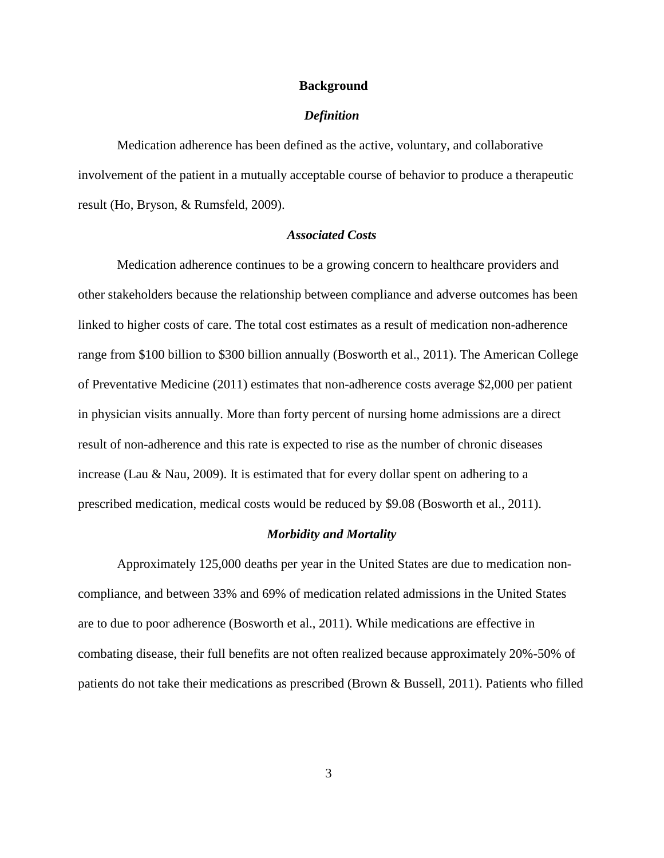#### **Background**

#### *Definition*

Medication adherence has been defined as the active, voluntary, and collaborative involvement of the patient in a mutually acceptable course of behavior to produce a therapeutic result (Ho, Bryson, & Rumsfeld, 2009).

### *Associated Costs*

Medication adherence continues to be a growing concern to healthcare providers and other stakeholders because the relationship between compliance and adverse outcomes has been linked to higher costs of care. The total cost estimates as a result of medication non-adherence range from \$100 billion to \$300 billion annually (Bosworth et al., 2011). The American College of Preventative Medicine (2011) estimates that non-adherence costs average \$2,000 per patient in physician visits annually. More than forty percent of nursing home admissions are a direct result of non-adherence and this rate is expected to rise as the number of chronic diseases increase (Lau & Nau, 2009). It is estimated that for every dollar spent on adhering to a prescribed medication, medical costs would be reduced by \$9.08 (Bosworth et al., 2011).

#### *Morbidity and Mortality*

Approximately 125,000 deaths per year in the United States are due to medication noncompliance, and between 33% and 69% of medication related admissions in the United States are to due to poor adherence (Bosworth et al., 2011). While medications are effective in combating disease, their full benefits are not often realized because approximately 20%-50% of patients do not take their medications as prescribed (Brown & Bussell, 2011). Patients who filled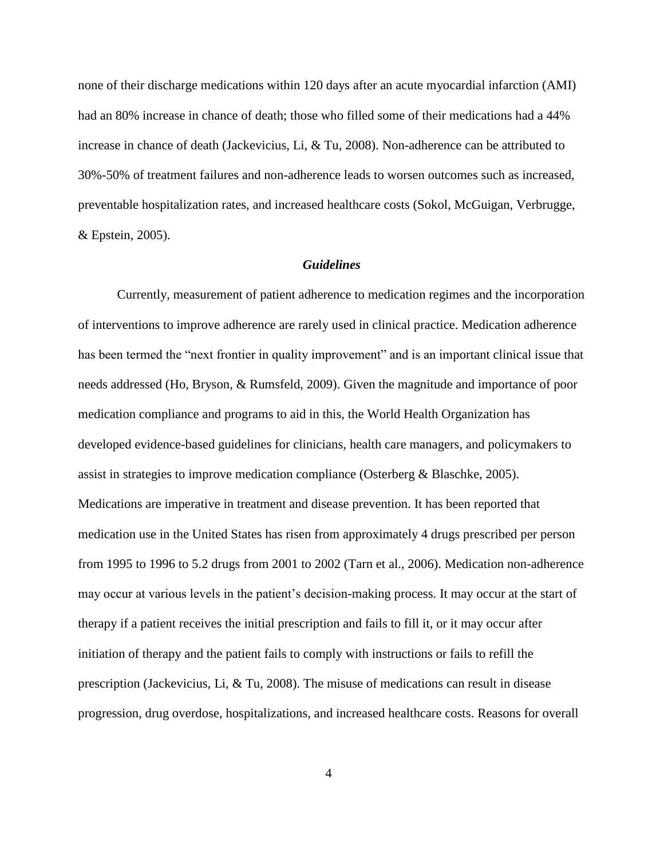none of their discharge medications within 120 days after an acute myocardial infarction (AMI) had an 80% increase in chance of death; those who filled some of their medications had a 44% increase in chance of death (Jackevicius, Li, & Tu, 2008). Non-adherence can be attributed to 30%-50% of treatment failures and non-adherence leads to worsen outcomes such as increased, preventable hospitalization rates, and increased healthcare costs (Sokol, McGuigan, Verbrugge, & Epstein, 2005).

#### *Guidelines*

Currently, measurement of patient adherence to medication regimes and the incorporation of interventions to improve adherence are rarely used in clinical practice. Medication adherence has been termed the "next frontier in quality improvement" and is an important clinical issue that needs addressed (Ho, Bryson, & Rumsfeld, 2009). Given the magnitude and importance of poor medication compliance and programs to aid in this, the World Health Organization has developed evidence-based guidelines for clinicians, health care managers, and policymakers to assist in strategies to improve medication compliance (Osterberg & Blaschke, 2005). Medications are imperative in treatment and disease prevention. It has been reported that medication use in the United States has risen from approximately 4 drugs prescribed per person from 1995 to 1996 to 5.2 drugs from 2001 to 2002 (Tarn et al., 2006). Medication non-adherence may occur at various levels in the patient's decision-making process. It may occur at the start of therapy if a patient receives the initial prescription and fails to fill it, or it may occur after initiation of therapy and the patient fails to comply with instructions or fails to refill the prescription (Jackevicius, Li, & Tu, 2008). The misuse of medications can result in disease progression, drug overdose, hospitalizations, and increased healthcare costs. Reasons for overall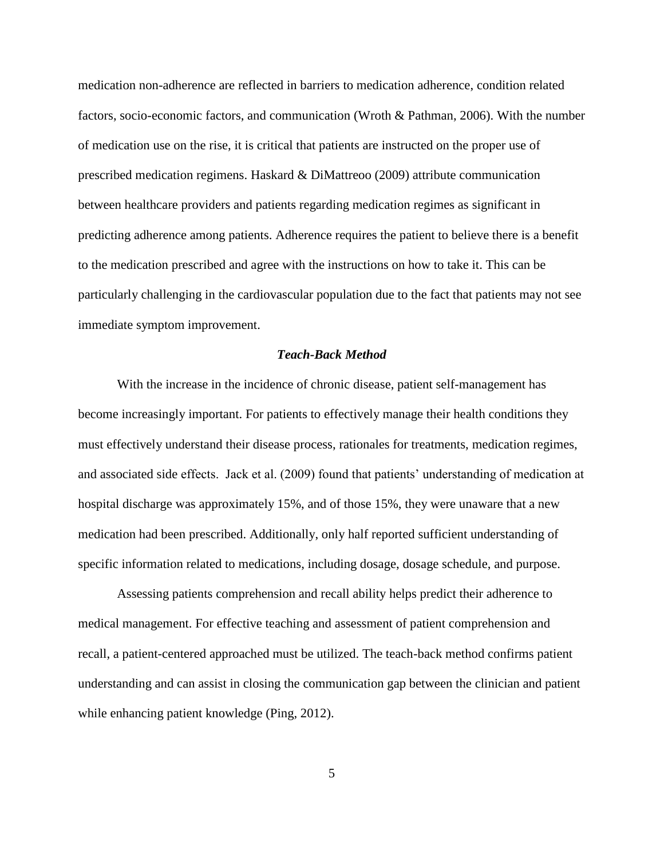medication non-adherence are reflected in barriers to medication adherence, condition related factors, socio-economic factors, and communication (Wroth & Pathman, 2006). With the number of medication use on the rise, it is critical that patients are instructed on the proper use of prescribed medication regimens. Haskard & DiMattreoo (2009) attribute communication between healthcare providers and patients regarding medication regimes as significant in predicting adherence among patients. Adherence requires the patient to believe there is a benefit to the medication prescribed and agree with the instructions on how to take it. This can be particularly challenging in the cardiovascular population due to the fact that patients may not see immediate symptom improvement.

#### *Teach-Back Method*

With the increase in the incidence of chronic disease, patient self-management has become increasingly important. For patients to effectively manage their health conditions they must effectively understand their disease process, rationales for treatments, medication regimes, and associated side effects. Jack et al. (2009) found that patients' understanding of medication at hospital discharge was approximately 15%, and of those 15%, they were unaware that a new medication had been prescribed. Additionally, only half reported sufficient understanding of specific information related to medications, including dosage, dosage schedule, and purpose.

Assessing patients comprehension and recall ability helps predict their adherence to medical management. For effective teaching and assessment of patient comprehension and recall, a patient-centered approached must be utilized. The teach-back method confirms patient understanding and can assist in closing the communication gap between the clinician and patient while enhancing patient knowledge (Ping, 2012).

5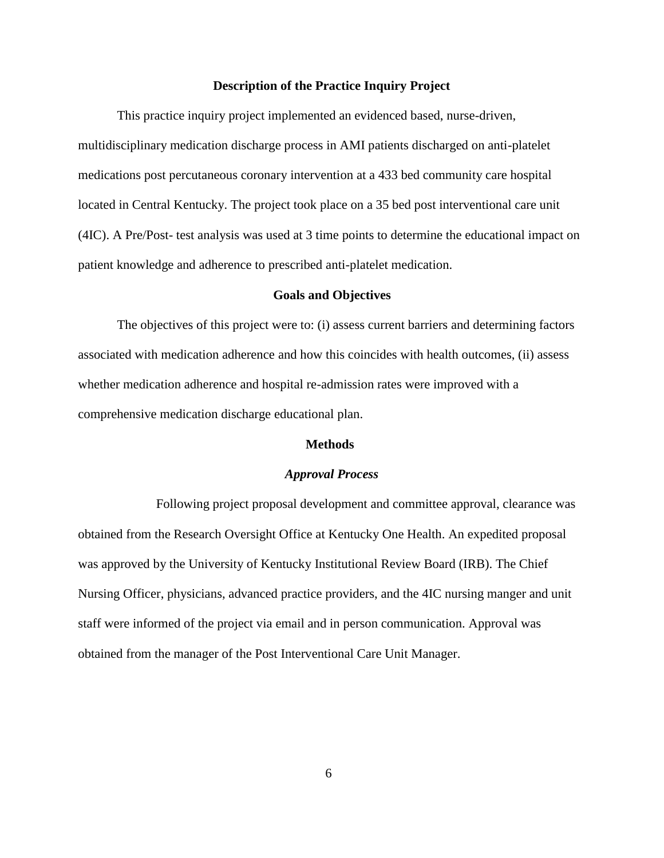#### **Description of the Practice Inquiry Project**

This practice inquiry project implemented an evidenced based, nurse-driven, multidisciplinary medication discharge process in AMI patients discharged on anti-platelet medications post percutaneous coronary intervention at a 433 bed community care hospital located in Central Kentucky. The project took place on a 35 bed post interventional care unit (4IC). A Pre/Post- test analysis was used at 3 time points to determine the educational impact on patient knowledge and adherence to prescribed anti-platelet medication.

#### **Goals and Objectives**

The objectives of this project were to: (i) assess current barriers and determining factors associated with medication adherence and how this coincides with health outcomes, (ii) assess whether medication adherence and hospital re-admission rates were improved with a comprehensive medication discharge educational plan.

#### **Methods**

#### *Approval Process*

Following project proposal development and committee approval, clearance was obtained from the Research Oversight Office at Kentucky One Health. An expedited proposal was approved by the University of Kentucky Institutional Review Board (IRB). The Chief Nursing Officer, physicians, advanced practice providers, and the 4IC nursing manger and unit staff were informed of the project via email and in person communication. Approval was obtained from the manager of the Post Interventional Care Unit Manager.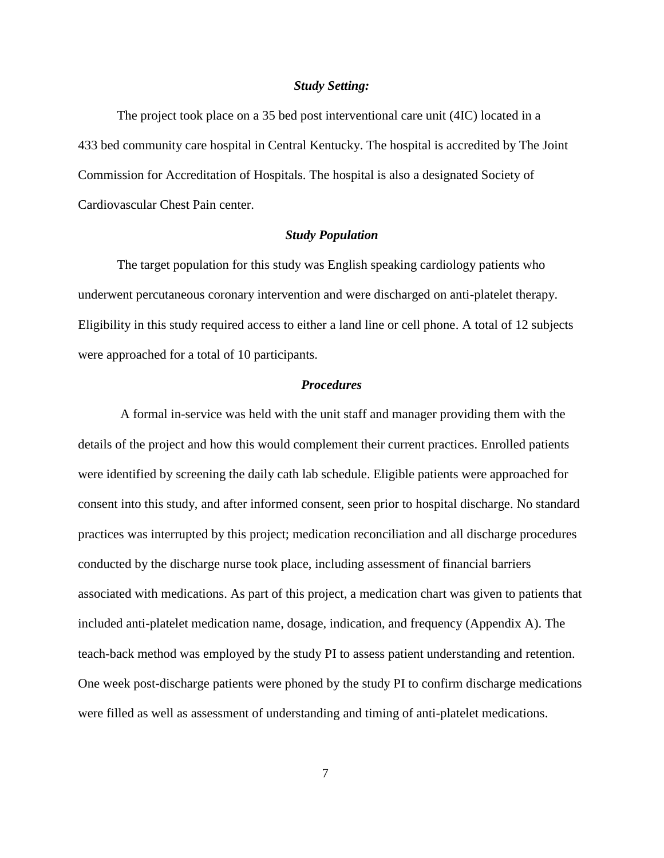#### *Study Setting:*

The project took place on a 35 bed post interventional care unit (4IC) located in a 433 bed community care hospital in Central Kentucky. The hospital is accredited by The Joint Commission for Accreditation of Hospitals. The hospital is also a designated Society of Cardiovascular Chest Pain center.

#### *Study Population*

The target population for this study was English speaking cardiology patients who underwent percutaneous coronary intervention and were discharged on anti-platelet therapy. Eligibility in this study required access to either a land line or cell phone. A total of 12 subjects were approached for a total of 10 participants.

#### *Procedures*

A formal in-service was held with the unit staff and manager providing them with the details of the project and how this would complement their current practices. Enrolled patients were identified by screening the daily cath lab schedule. Eligible patients were approached for consent into this study, and after informed consent, seen prior to hospital discharge. No standard practices was interrupted by this project; medication reconciliation and all discharge procedures conducted by the discharge nurse took place, including assessment of financial barriers associated with medications. As part of this project, a medication chart was given to patients that included anti-platelet medication name, dosage, indication, and frequency (Appendix A). The teach-back method was employed by the study PI to assess patient understanding and retention. One week post-discharge patients were phoned by the study PI to confirm discharge medications were filled as well as assessment of understanding and timing of anti-platelet medications.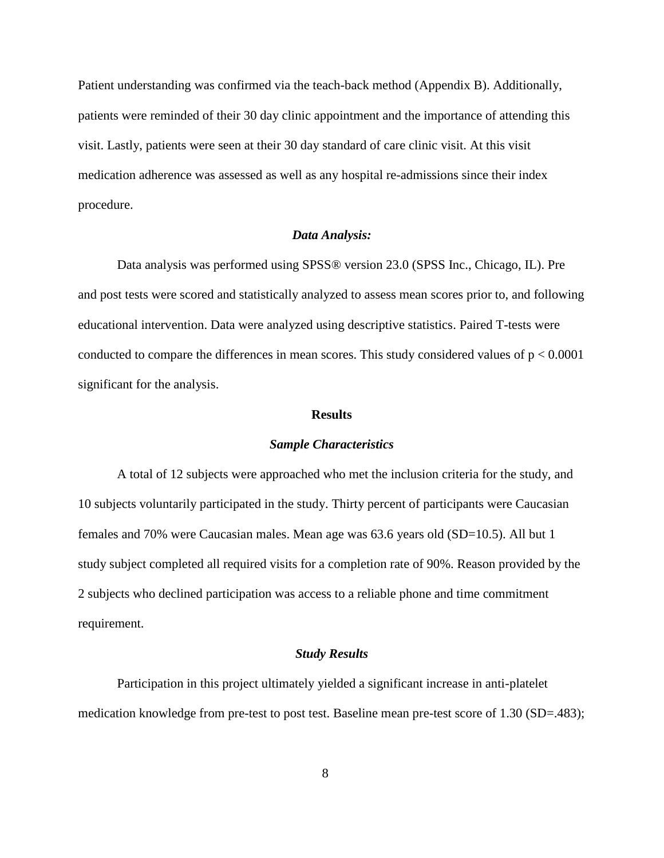Patient understanding was confirmed via the teach-back method (Appendix B). Additionally, patients were reminded of their 30 day clinic appointment and the importance of attending this visit. Lastly, patients were seen at their 30 day standard of care clinic visit. At this visit medication adherence was assessed as well as any hospital re-admissions since their index procedure.

#### *Data Analysis:*

Data analysis was performed using SPSS® version 23.0 (SPSS Inc., Chicago, IL). Pre and post tests were scored and statistically analyzed to assess mean scores prior to, and following educational intervention. Data were analyzed using descriptive statistics. Paired T-tests were conducted to compare the differences in mean scores. This study considered values of  $p < 0.0001$ significant for the analysis.

#### **Results**

#### *Sample Characteristics*

A total of 12 subjects were approached who met the inclusion criteria for the study, and 10 subjects voluntarily participated in the study. Thirty percent of participants were Caucasian females and 70% were Caucasian males. Mean age was 63.6 years old (SD=10.5). All but 1 study subject completed all required visits for a completion rate of 90%. Reason provided by the 2 subjects who declined participation was access to a reliable phone and time commitment requirement.

#### *Study Results*

Participation in this project ultimately yielded a significant increase in anti-platelet medication knowledge from pre-test to post test. Baseline mean pre-test score of 1.30 (SD=.483);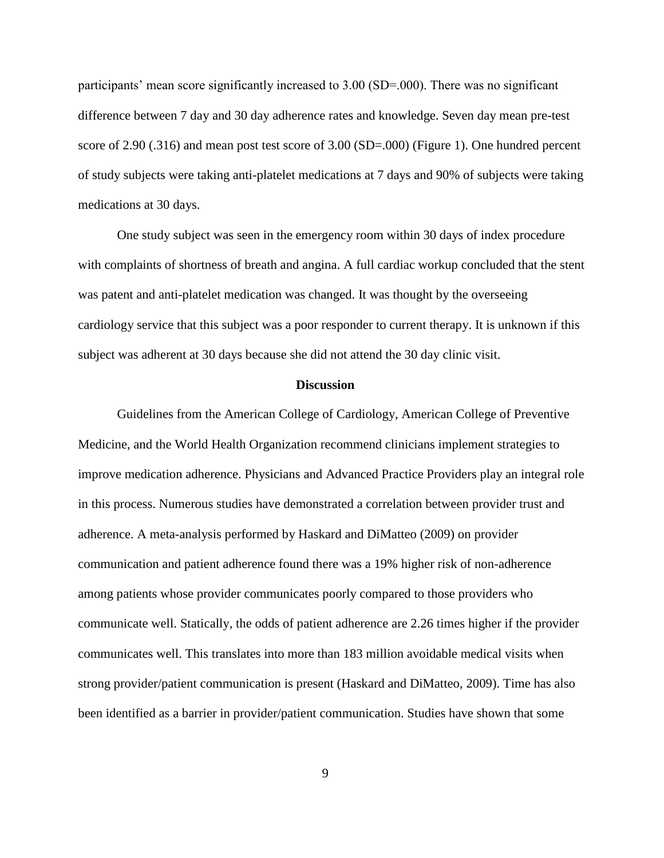participants' mean score significantly increased to 3.00 (SD=.000). There was no significant difference between 7 day and 30 day adherence rates and knowledge. Seven day mean pre-test score of 2.90 (.316) and mean post test score of 3.00 (SD=.000) (Figure 1). One hundred percent of study subjects were taking anti-platelet medications at 7 days and 90% of subjects were taking medications at 30 days.

One study subject was seen in the emergency room within 30 days of index procedure with complaints of shortness of breath and angina. A full cardiac workup concluded that the stent was patent and anti-platelet medication was changed. It was thought by the overseeing cardiology service that this subject was a poor responder to current therapy. It is unknown if this subject was adherent at 30 days because she did not attend the 30 day clinic visit.

#### **Discussion**

Guidelines from the American College of Cardiology, American College of Preventive Medicine, and the World Health Organization recommend clinicians implement strategies to improve medication adherence. Physicians and Advanced Practice Providers play an integral role in this process. Numerous studies have demonstrated a correlation between provider trust and adherence. A meta-analysis performed by Haskard and DiMatteo (2009) on provider communication and patient adherence found there was a 19% higher risk of non-adherence among patients whose provider communicates poorly compared to those providers who communicate well. Statically, the odds of patient adherence are 2.26 times higher if the provider communicates well. This translates into more than 183 million avoidable medical visits when strong provider/patient communication is present (Haskard and DiMatteo, 2009). Time has also been identified as a barrier in provider/patient communication. Studies have shown that some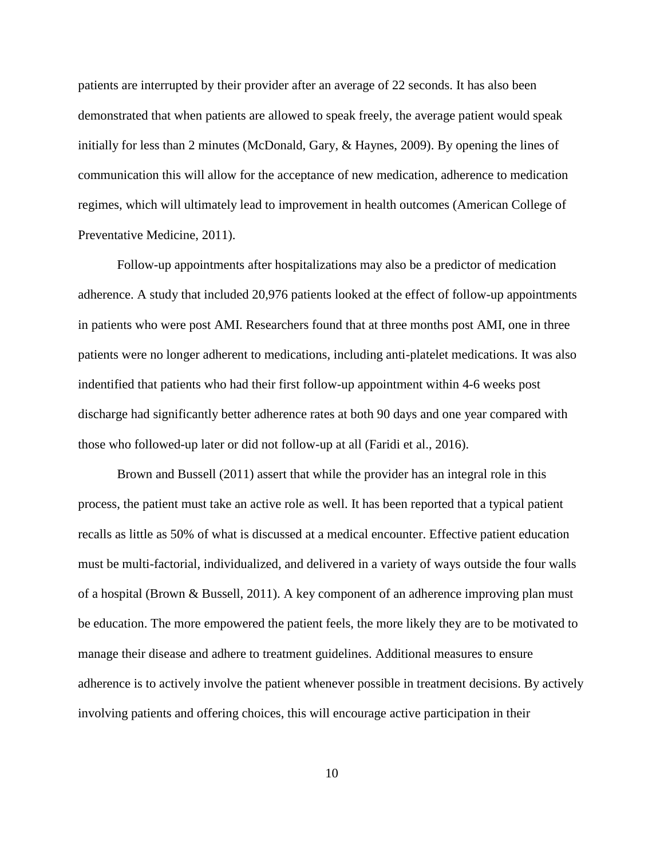patients are interrupted by their provider after an average of 22 seconds. It has also been demonstrated that when patients are allowed to speak freely, the average patient would speak initially for less than 2 minutes (McDonald, Gary, & Haynes, 2009). By opening the lines of communication this will allow for the acceptance of new medication, adherence to medication regimes, which will ultimately lead to improvement in health outcomes (American College of Preventative Medicine, 2011).

Follow-up appointments after hospitalizations may also be a predictor of medication adherence. A study that included 20,976 patients looked at the effect of follow-up appointments in patients who were post AMI. Researchers found that at three months post AMI, one in three patients were no longer adherent to medications, including anti-platelet medications. It was also indentified that patients who had their first follow-up appointment within 4-6 weeks post discharge had significantly better adherence rates at both 90 days and one year compared with those who followed-up later or did not follow-up at all (Faridi et al., 2016).

Brown and Bussell (2011) assert that while the provider has an integral role in this process, the patient must take an active role as well. It has been reported that a typical patient recalls as little as 50% of what is discussed at a medical encounter. Effective patient education must be multi-factorial, individualized, and delivered in a variety of ways outside the four walls of a hospital (Brown & Bussell, 2011). A key component of an adherence improving plan must be education. The more empowered the patient feels, the more likely they are to be motivated to manage their disease and adhere to treatment guidelines. Additional measures to ensure adherence is to actively involve the patient whenever possible in treatment decisions. By actively involving patients and offering choices, this will encourage active participation in their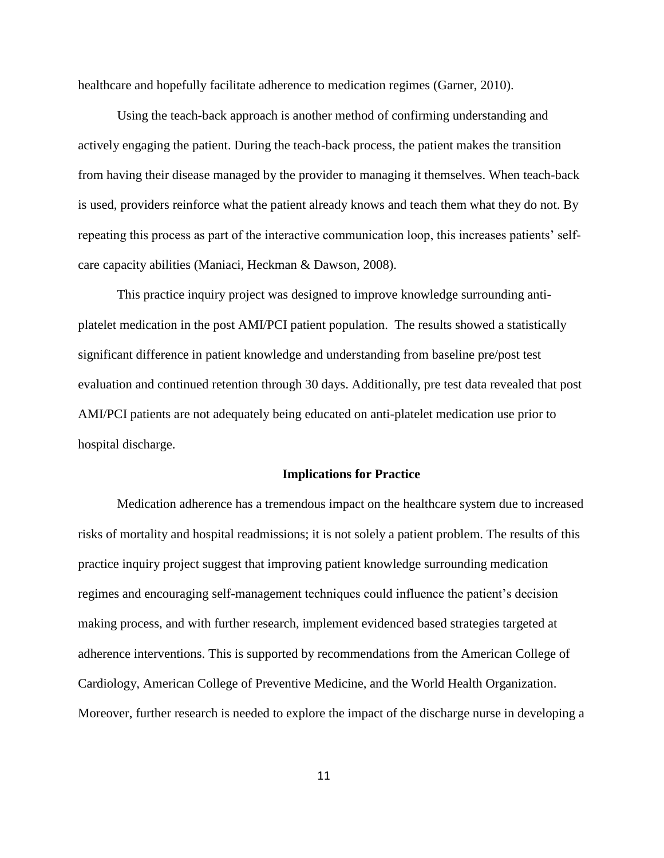healthcare and hopefully facilitate adherence to medication regimes (Garner, 2010).

Using the teach-back approach is another method of confirming understanding and actively engaging the patient. During the teach-back process, the patient makes the transition from having their disease managed by the provider to managing it themselves. When teach-back is used, providers reinforce what the patient already knows and teach them what they do not. By repeating this process as part of the interactive communication loop, this increases patients' selfcare capacity abilities (Maniaci, Heckman & Dawson, 2008).

This practice inquiry project was designed to improve knowledge surrounding antiplatelet medication in the post AMI/PCI patient population. The results showed a statistically significant difference in patient knowledge and understanding from baseline pre/post test evaluation and continued retention through 30 days. Additionally, pre test data revealed that post AMI/PCI patients are not adequately being educated on anti-platelet medication use prior to hospital discharge.

#### **Implications for Practice**

Medication adherence has a tremendous impact on the healthcare system due to increased risks of mortality and hospital readmissions; it is not solely a patient problem. The results of this practice inquiry project suggest that improving patient knowledge surrounding medication regimes and encouraging self-management techniques could influence the patient's decision making process, and with further research, implement evidenced based strategies targeted at adherence interventions. This is supported by recommendations from the American College of Cardiology, American College of Preventive Medicine, and the World Health Organization. Moreover, further research is needed to explore the impact of the discharge nurse in developing a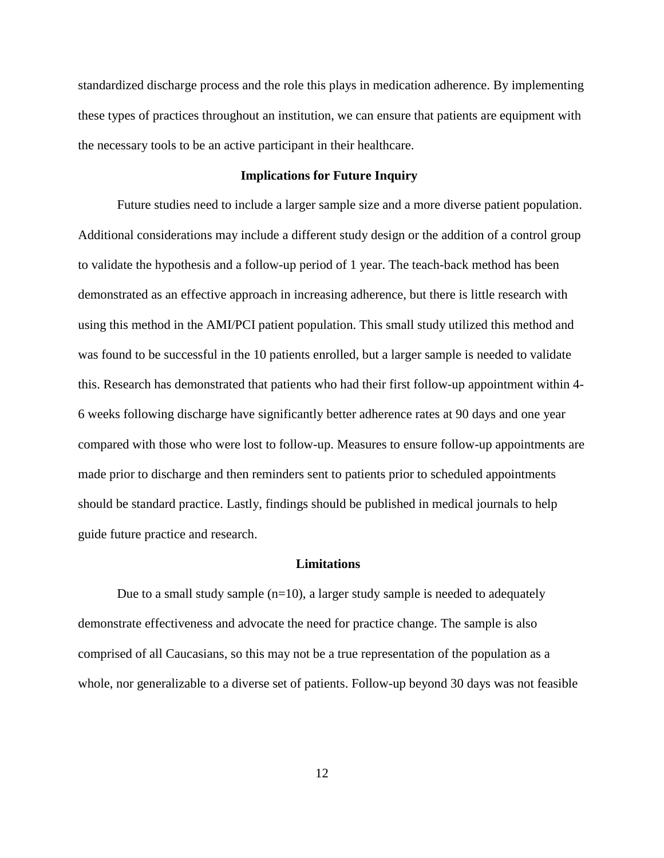standardized discharge process and the role this plays in medication adherence. By implementing these types of practices throughout an institution, we can ensure that patients are equipment with the necessary tools to be an active participant in their healthcare.

#### **Implications for Future Inquiry**

Future studies need to include a larger sample size and a more diverse patient population. Additional considerations may include a different study design or the addition of a control group to validate the hypothesis and a follow-up period of 1 year. The teach-back method has been demonstrated as an effective approach in increasing adherence, but there is little research with using this method in the AMI/PCI patient population. This small study utilized this method and was found to be successful in the 10 patients enrolled, but a larger sample is needed to validate this. Research has demonstrated that patients who had their first follow-up appointment within 4- 6 weeks following discharge have significantly better adherence rates at 90 days and one year compared with those who were lost to follow-up. Measures to ensure follow-up appointments are made prior to discharge and then reminders sent to patients prior to scheduled appointments should be standard practice. Lastly, findings should be published in medical journals to help guide future practice and research.

#### **Limitations**

Due to a small study sample  $(n=10)$ , a larger study sample is needed to adequately demonstrate effectiveness and advocate the need for practice change. The sample is also comprised of all Caucasians, so this may not be a true representation of the population as a whole, nor generalizable to a diverse set of patients. Follow-up beyond 30 days was not feasible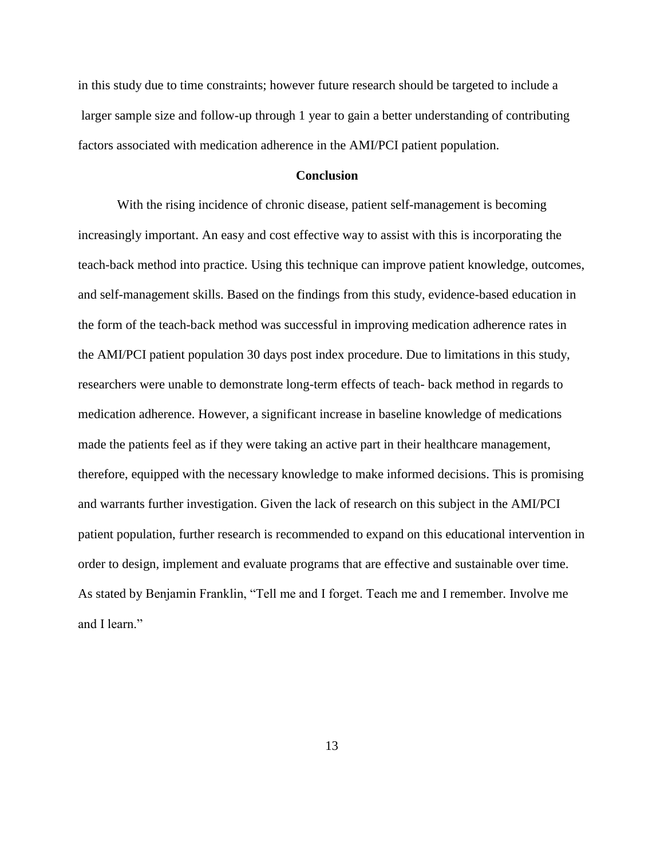in this study due to time constraints; however future research should be targeted to include a larger sample size and follow-up through 1 year to gain a better understanding of contributing factors associated with medication adherence in the AMI/PCI patient population.

#### **Conclusion**

With the rising incidence of chronic disease, patient self-management is becoming increasingly important. An easy and cost effective way to assist with this is incorporating the teach-back method into practice. Using this technique can improve patient knowledge, outcomes, and self-management skills. Based on the findings from this study, evidence-based education in the form of the teach-back method was successful in improving medication adherence rates in the AMI/PCI patient population 30 days post index procedure. Due to limitations in this study, researchers were unable to demonstrate long-term effects of teach- back method in regards to medication adherence. However, a significant increase in baseline knowledge of medications made the patients feel as if they were taking an active part in their healthcare management, therefore, equipped with the necessary knowledge to make informed decisions. This is promising and warrants further investigation. Given the lack of research on this subject in the AMI/PCI patient population, further research is recommended to expand on this educational intervention in order to design, implement and evaluate programs that are effective and sustainable over time. As stated by Benjamin Franklin, "Tell me and I forget. Teach me and I remember. Involve me and I learn."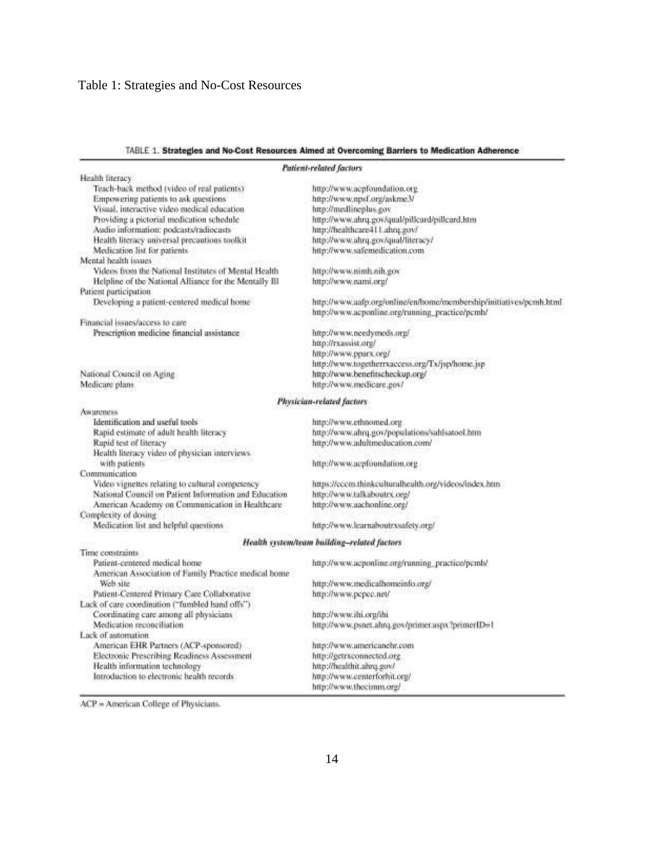#### TABLE 1. Strategies and No-Cost Resources Aimed at Overcoming Barriers to Medication Adherence

|                                                                              | Patient-related factors                                             |
|------------------------------------------------------------------------------|---------------------------------------------------------------------|
| Health literacy                                                              |                                                                     |
| Teach-back method (video of real patients)                                   | http://www.acpfoundation.org                                        |
| Empowering patients to ask questions                                         | http://www.npsf.org/askme3/                                         |
| Visual, interactive video medical education                                  | http://medlineplus.gov                                              |
| Providing a pictorial medication schedule                                    | http://www.ahrq.gov/qual/pillcard/pillcard.htm                      |
| Audio information: podcasts/radiocasts                                       | http://healthcare411.ahrq.gov/                                      |
| Health literacy universal precautions toolkit                                | http://www.ahrq.gov/qual/literacy/                                  |
| Medication list for patients                                                 | http://www.safemedication.com                                       |
| Mental health issues                                                         |                                                                     |
| Videos from the National Institutes of Mental Health                         | http://www.nimh.nih.gov                                             |
|                                                                              | http://www.nami.org/                                                |
| Helpline of the National Alliance for the Mentally Ill                       |                                                                     |
| Patient participation                                                        |                                                                     |
| Developing a patient-centered medical home                                   | http://www.aafp.org/online/en/home/membership/initiatives/pcmh.html |
|                                                                              | http://www.acponline.org/running_practice/pcmh/                     |
| Financial issues/access to care                                              |                                                                     |
| Prescription medicine financial assistance                                   | http://www.needymeds.org/                                           |
|                                                                              | http://rxassist.org/                                                |
|                                                                              | http://www.pparx.org/                                               |
|                                                                              | http://www.togetherrxaccess.org/Tx/jsp/home.jsp                     |
| National Council on Aging                                                    | http://www.benefitscheckup.org/                                     |
| Medicare plans.                                                              | http://www.medicare.gov/                                            |
|                                                                              |                                                                     |
| Awareness                                                                    | Physician-related factors                                           |
| Identification and useful tools                                              |                                                                     |
|                                                                              | http://www.ethnomed.org                                             |
| Rapid estimate of adult health literacy                                      | http://www.ahrq.gov/populations/sahlsatool.htm                      |
| Rapid test of literacy                                                       | http://www.adultmeducation.com/                                     |
| Health literacy video of physician interviews                                |                                                                     |
| with patients                                                                | http://www.acpfoundation.org                                        |
| Communication                                                                |                                                                     |
| Video vignettes relating to cultural competency                              | https://cccm.thinkculturalhealth.org/videos/index.htm               |
| National Council on Patient Information and Education                        | http://www.talkaboutrx.org/                                         |
| American Academy on Communication in Healthcare                              | http://www.aachonline.org/                                          |
| Complexity of dosing                                                         |                                                                     |
| Medication list and helpful questions                                        | http://www.learnaboutrxsafety.org/                                  |
|                                                                              | Health system/team building-related factors                         |
| Time constraints                                                             |                                                                     |
| Patient-centered medical home                                                | http://www.acponline.org/running_practice/pcmh/.                    |
| American Association of Family Practice medical home                         |                                                                     |
| Web site                                                                     | http://www.medicalhomeinfo.org/                                     |
| Patient-Centered Primary Care Collaborative                                  | http://www.pcpcc.net/                                               |
| Lack of care coordination ("fumbled hand offs")                              |                                                                     |
| Coordinating care among all physicians                                       | http://www.ihi.org/ihi                                              |
| Medication reconciliation                                                    | http://www.psnet.ahrq.gov/primer.aspx?primerID=1                    |
| Lack of automation                                                           |                                                                     |
|                                                                              | http://www.americanehr.com                                          |
| American EHR Partners (ACP-sponsored)                                        |                                                                     |
| Electronic Prescribing Readiness Assessment<br>Health information technology | http://getrxconnected.org                                           |
|                                                                              | http://healthit.ahrq.gov/                                           |
| Introduction to electronic health records                                    | http://www.centerforhit.org/                                        |
|                                                                              | http://www.thecimm.org/                                             |

ACP = American College of Physicians.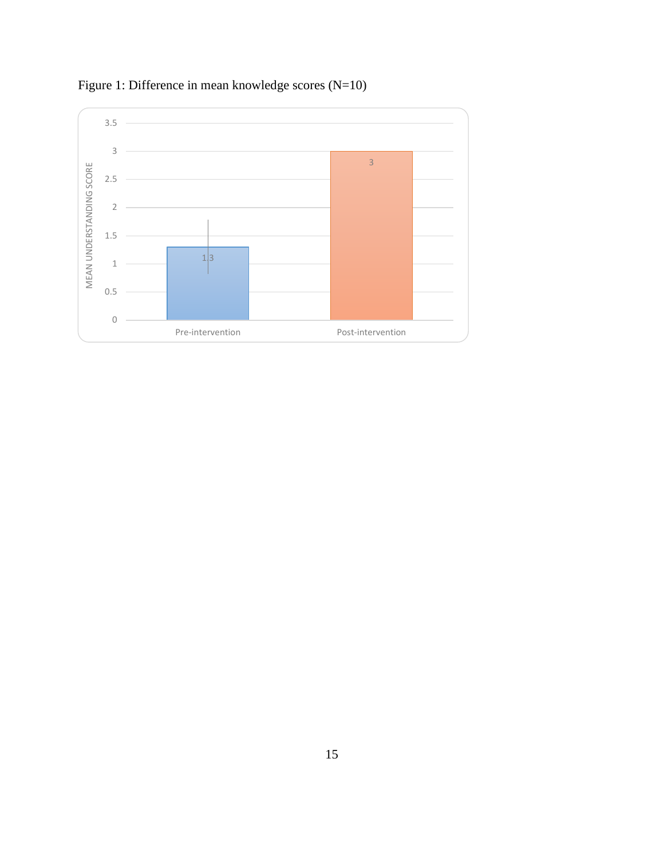

Figure 1: Difference in mean knowledge scores (N=10)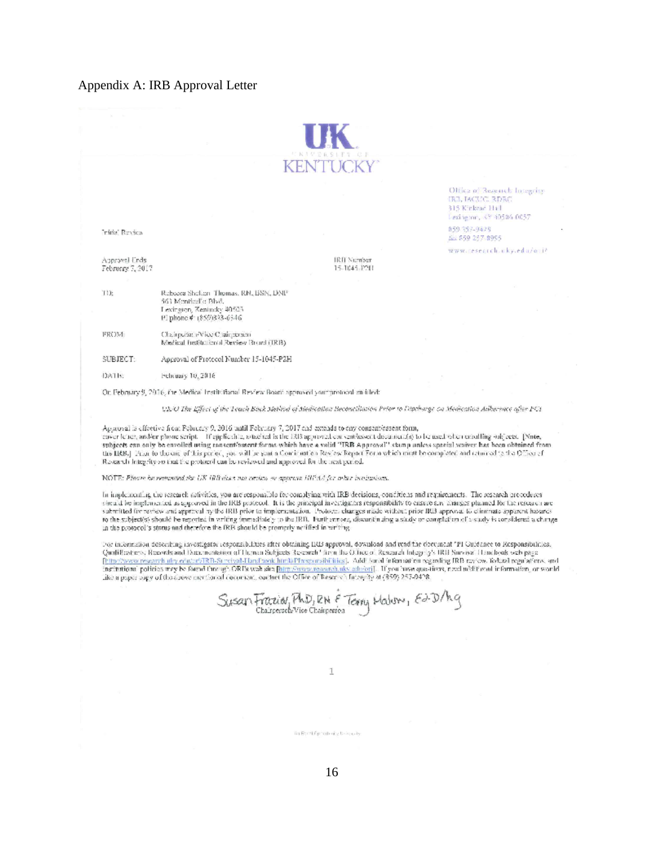#### Appendix A: IRB Approval Letter

|                                   |                                                                                                                                                                                                                                                                                                                                                                                                                                                                                                                                                                                                                                                                        | KENTUCKY                           |                                                                                                |  |
|-----------------------------------|------------------------------------------------------------------------------------------------------------------------------------------------------------------------------------------------------------------------------------------------------------------------------------------------------------------------------------------------------------------------------------------------------------------------------------------------------------------------------------------------------------------------------------------------------------------------------------------------------------------------------------------------------------------------|------------------------------------|------------------------------------------------------------------------------------------------|--|
|                                   |                                                                                                                                                                                                                                                                                                                                                                                                                                                                                                                                                                                                                                                                        |                                    | Office of Research Integrity<br>TRE TACUCE RDRC<br>315 Kirkvar H+1<br>Lexington, XY 40506-0057 |  |
| Initial Review                    |                                                                                                                                                                                                                                                                                                                                                                                                                                                                                                                                                                                                                                                                        |                                    | 059-357-9425<br>fax \$59,257-8995                                                              |  |
| Approval Ends<br>February 7, 2017 |                                                                                                                                                                                                                                                                                                                                                                                                                                                                                                                                                                                                                                                                        | <b>IRII Number</b><br>15-1045-1211 | www.cesearch.uky.edu/ani/                                                                      |  |
| TD:                               | Rebocca Shelleri Thomas, RN, BSN, DNP<br>561 Mentiod's Blvd.<br>Lexington, Kentucky, 40503.<br>FI phone #: (859)333-6546                                                                                                                                                                                                                                                                                                                                                                                                                                                                                                                                               |                                    |                                                                                                |  |
| FROM:                             | Chairpulatin Vice Chairperson<br>Medical Institutional Review Broad (IRB).                                                                                                                                                                                                                                                                                                                                                                                                                                                                                                                                                                                             |                                    |                                                                                                |  |
| SUBJECT:                          | Ageroval of Protecol Number 15-1045-P2H                                                                                                                                                                                                                                                                                                                                                                                                                                                                                                                                                                                                                                |                                    |                                                                                                |  |
| DATE:                             | February 10, 2016                                                                                                                                                                                                                                                                                                                                                                                                                                                                                                                                                                                                                                                      |                                    |                                                                                                |  |
|                                   | On February 9, 2016, the Medical Institutional Review Board approved your protocol emitted:                                                                                                                                                                                                                                                                                                                                                                                                                                                                                                                                                                            |                                    |                                                                                                |  |
|                                   | Ols O The Effect of the Teach Back Method of Medication Reconcillation Prior to Discharge on Medication Adherence after POI                                                                                                                                                                                                                                                                                                                                                                                                                                                                                                                                            |                                    |                                                                                                |  |
|                                   | Aparoval is effective from Pebruary 9, 2016 until February 7, 2017 and extends to any consenvessent form,<br>caser leads, and/or phone seript. If applicable, subclud is the ERIS approval can sent/assent document(s) to leansed often critelling subjects. [Nine,<br>subjects can only be envolled using ennsem/assent forms which have a volid "IRR Approval" stamp unless special waives has been obtained from<br>the IRB.) From to the end of his period, you will be sent a Communication Review Report Form which must be completed and returned to the Office of<br>Research Integrity so that the protocol can be reviewed and approved for the next period. |                                    |                                                                                                |  |
|                                   | NOTE: Place ha wonnated the UK IRB diver not project so approve HIPAA for other bonismines.                                                                                                                                                                                                                                                                                                                                                                                                                                                                                                                                                                            |                                    |                                                                                                |  |

In Implementing the research sativities, you are responsible for complying with IRB decisions, conditions and requirements. The research procedures in implementary constant any other than the HRB practice. It is the principal inexcipation responsibility to ensure any analyze planned life the responsibility of ensure any analyze planned life the responsibility of ensur

Der infernation describing investigater responsibilities after obtaining BBS approval, download and read the decoment TPI Guidance to Responsibilities,<br>Qualifications, Research and Dammaniation of Human Subjects Research f

Susan Frazio Ph.D, RN & Terry Halver, Ed.D/hg

1

in Evrifying the benefits.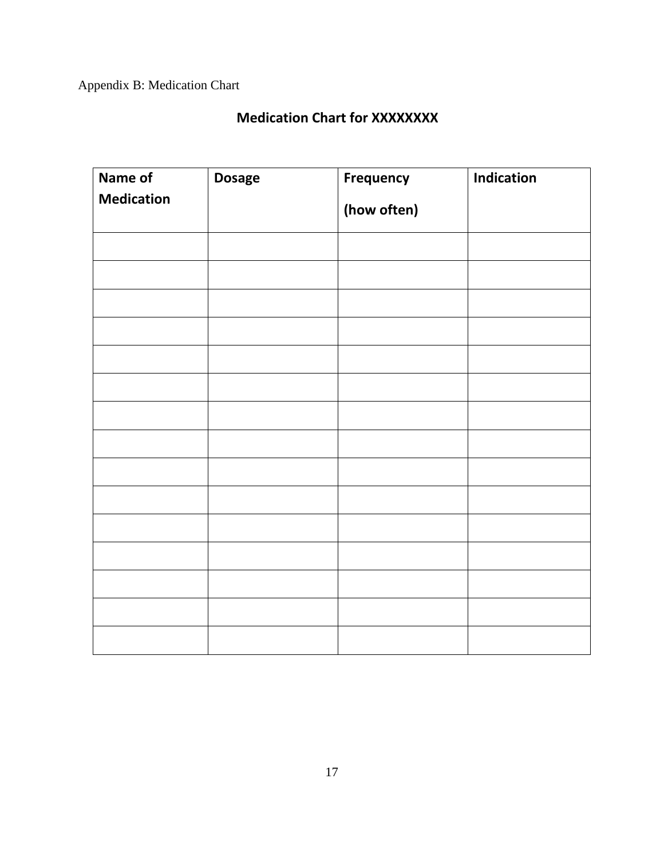Appendix B: Medication Chart

# **Medication Chart for XXXXXXXX**

| Name of           | <b>Dosage</b> | <b>Frequency</b> | Indication |
|-------------------|---------------|------------------|------------|
| <b>Medication</b> |               | (how often)      |            |
|                   |               |                  |            |
|                   |               |                  |            |
|                   |               |                  |            |
|                   |               |                  |            |
|                   |               |                  |            |
|                   |               |                  |            |
|                   |               |                  |            |
|                   |               |                  |            |
|                   |               |                  |            |
|                   |               |                  |            |
|                   |               |                  |            |
|                   |               |                  |            |
|                   |               |                  |            |
|                   |               |                  |            |
|                   |               |                  |            |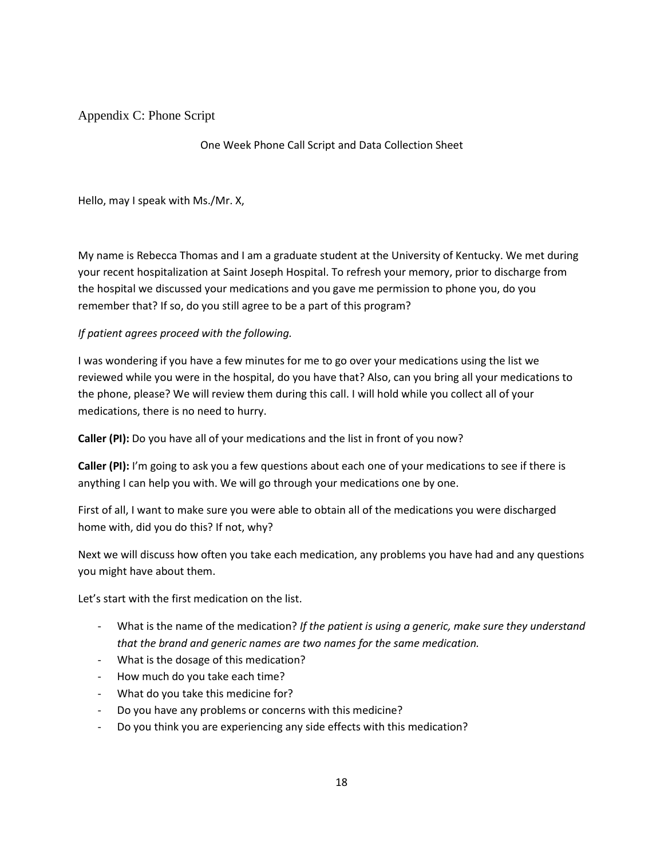Appendix C: Phone Script

One Week Phone Call Script and Data Collection Sheet

Hello, may I speak with Ms./Mr. X,

My name is Rebecca Thomas and I am a graduate student at the University of Kentucky. We met during your recent hospitalization at Saint Joseph Hospital. To refresh your memory, prior to discharge from the hospital we discussed your medications and you gave me permission to phone you, do you remember that? If so, do you still agree to be a part of this program?

#### *If patient agrees proceed with the following.*

I was wondering if you have a few minutes for me to go over your medications using the list we reviewed while you were in the hospital, do you have that? Also, can you bring all your medications to the phone, please? We will review them during this call. I will hold while you collect all of your medications, there is no need to hurry.

**Caller (PI):** Do you have all of your medications and the list in front of you now?

**Caller (PI):** I'm going to ask you a few questions about each one of your medications to see if there is anything I can help you with. We will go through your medications one by one.

First of all, I want to make sure you were able to obtain all of the medications you were discharged home with, did you do this? If not, why?

Next we will discuss how often you take each medication, any problems you have had and any questions you might have about them.

Let's start with the first medication on the list.

- What is the name of the medication? *If the patient is using a generic, make sure they understand that the brand and generic names are two names for the same medication.*
- What is the dosage of this medication?
- How much do you take each time?
- What do you take this medicine for?
- Do you have any problems or concerns with this medicine?
- Do you think you are experiencing any side effects with this medication?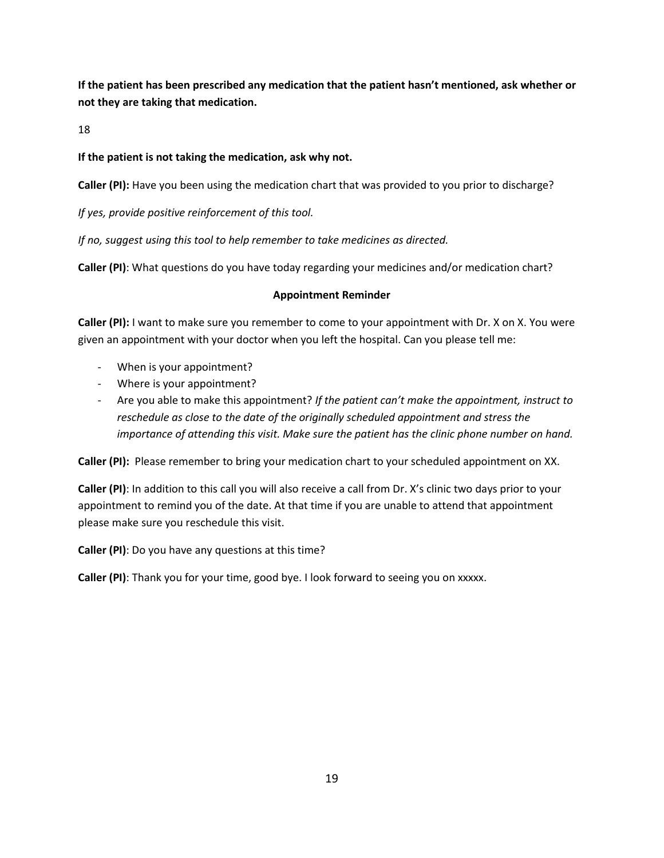**If the patient has been prescribed any medication that the patient hasn't mentioned, ask whether or not they are taking that medication.** 

18

## **If the patient is not taking the medication, ask why not.**

**Caller (PI):** Have you been using the medication chart that was provided to you prior to discharge?

*If yes, provide positive reinforcement of this tool.*

*If no, suggest using this tool to help remember to take medicines as directed.* 

**Caller (PI)**: What questions do you have today regarding your medicines and/or medication chart?

### **Appointment Reminder**

**Caller (PI):** I want to make sure you remember to come to your appointment with Dr. X on X. You were given an appointment with your doctor when you left the hospital. Can you please tell me:

- When is your appointment?
- Where is your appointment?
- Are you able to make this appointment? *If the patient can't make the appointment, instruct to reschedule as close to the date of the originally scheduled appointment and stress the importance of attending this visit. Make sure the patient has the clinic phone number on hand.*

**Caller (PI):** Please remember to bring your medication chart to your scheduled appointment on XX.

**Caller (PI)**: In addition to this call you will also receive a call from Dr. X's clinic two days prior to your appointment to remind you of the date. At that time if you are unable to attend that appointment please make sure you reschedule this visit.

**Caller (PI)**: Do you have any questions at this time?

**Caller (PI)**: Thank you for your time, good bye. I look forward to seeing you on xxxxx.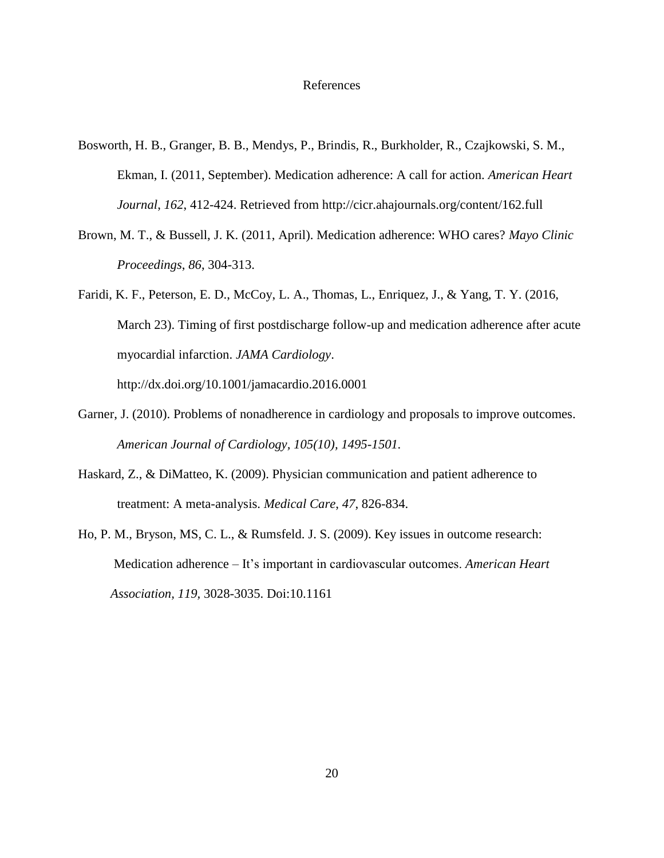#### References

- Bosworth, H. B., Granger, B. B., Mendys, P., Brindis, R., Burkholder, R., Czajkowski, S. M., Ekman, I. (2011, September). Medication adherence: A call for action. *American Heart Journal*, *162*, 412-424. Retrieved from http://cicr.ahajournals.org/content/162.full
- Brown, M. T., & Bussell, J. K. (2011, April). Medication adherence: WHO cares? *Mayo Clinic Proceedings*, *86*, 304-313.
- Faridi, K. F., Peterson, E. D., McCoy, L. A., Thomas, L., Enriquez, J., & Yang, T. Y. (2016, March 23). Timing of first postdischarge follow-up and medication adherence after acute myocardial infarction. *JAMA Cardiology*. http://dx.doi.org/10.1001/jamacardio.2016.0001
- Garner, J. (2010). Problems of nonadherence in cardiology and proposals to improve outcomes. *American Journal of Cardiology, 105(10), 1495-1501.*
- Haskard, Z., & DiMatteo, K. (2009). Physician communication and patient adherence to treatment: A meta-analysis. *Medical Care*, *47*, 826-834.
- Ho, P. M., Bryson, MS, C. L., & Rumsfeld. J. S. (2009). Key issues in outcome research: Medication adherence – It's important in cardiovascular outcomes. *American Heart Association, 119,* 3028-3035. Doi:10.1161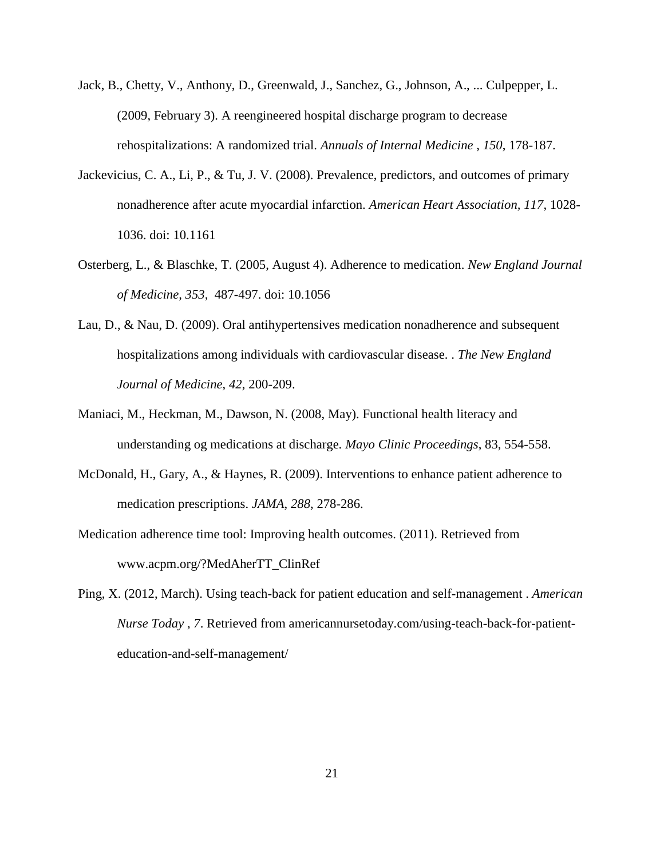- Jack, B., Chetty, V., Anthony, D., Greenwald, J., Sanchez, G., Johnson, A., ... Culpepper, L. (2009, February 3). A reengineered hospital discharge program to decrease rehospitalizations: A randomized trial. *Annuals of Internal Medicine* , *150*, 178-187.
- Jackevicius, C. A., Li, P., & Tu, J. V. (2008). Prevalence, predictors, and outcomes of primary nonadherence after acute myocardial infarction. *American Heart Association, 117*, 1028- 1036. doi: 10.1161
- Osterberg, L., & Blaschke, T. (2005, August 4). Adherence to medication. *New England Journal of Medicine, 353,* 487-497. doi: 10.1056
- Lau, D., & Nau, D. (2009). Oral antihypertensives medication nonadherence and subsequent hospitalizations among individuals with cardiovascular disease. . *The New England Journal of Medicine*, *42*, 200-209.
- Maniaci, M., Heckman, M., Dawson, N. (2008, May). Functional health literacy and understanding og medications at discharge. *Mayo Clinic Proceedings*, 83, 554-558.
- McDonald, H., Gary, A., & Haynes, R. (2009). Interventions to enhance patient adherence to medication prescriptions. *JAMA*, *288*, 278-286.
- Medication adherence time tool: Improving health outcomes. (2011). Retrieved from www.acpm.org/?MedAherTT\_ClinRef
- Ping, X. (2012, March). Using teach-back for patient education and self-management . *American Nurse Today* , *7*. Retrieved from americannursetoday.com/using-teach-back-for-patienteducation-and-self-management/